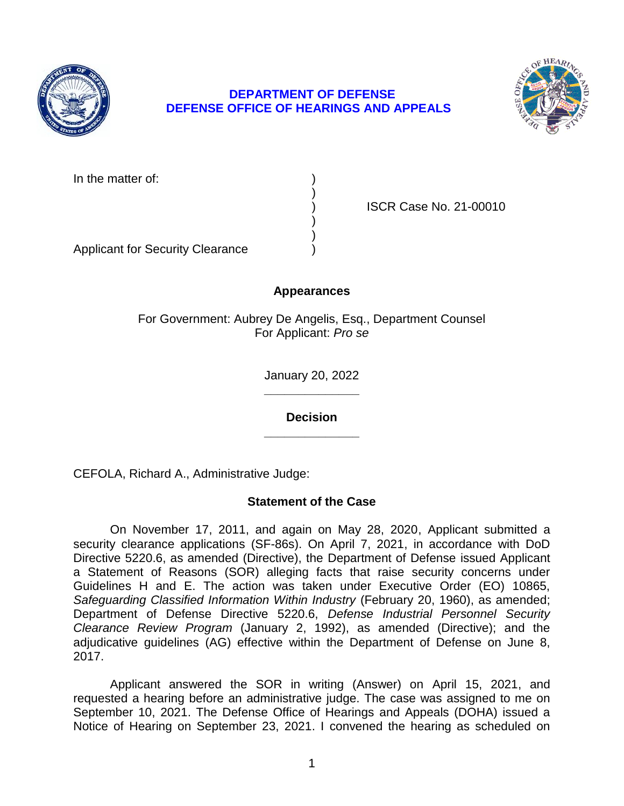

## **DEPARTMENT OF DEFENSE DEFENSE OFFICE OF HEARINGS AND APPEALS**



In the matter of:

) ISCR Case No. 21-00010

Applicant for Security Clearance )

# **Appearances**

)

) )

For Government: Aubrey De Angelis, Esq., Department Counsel For Applicant: *Pro se* 

> **\_\_\_\_\_\_\_\_\_\_\_\_\_\_**  January 20, 2022

**\_\_\_\_\_\_\_\_\_\_\_\_\_\_ Decision** 

CEFOLA, Richard A., Administrative Judge:

## **Statement of the Case**

 On November 17, 2011, and again on May 28, 2020, Applicant submitted a security clearance applications (SF-86s). On April 7, 2021, in accordance with DoD Directive 5220.6, as amended (Directive), the Department of Defense issued Applicant a Statement of Reasons (SOR) alleging facts that raise security concerns under Guidelines H and E. The action was taken under Executive Order (EO) 10865, Safeguarding Classified Information Within Industry (February 20, 1960), as amended; Department of Defense Directive 5220.6, *Defense Industrial Personnel Security Clearance Review Program* (January 2, 1992), as amended (Directive); and the adjudicative guidelines (AG) effective within the Department of Defense on June 8, 2017.

 Applicant answered the SOR in writing (Answer) on April 15, 2021, and requested a hearing before an administrative judge. The case was assigned to me on September 10, 2021. The Defense Office of Hearings and Appeals (DOHA) issued a Notice of Hearing on September 23, 2021. I convened the hearing as scheduled on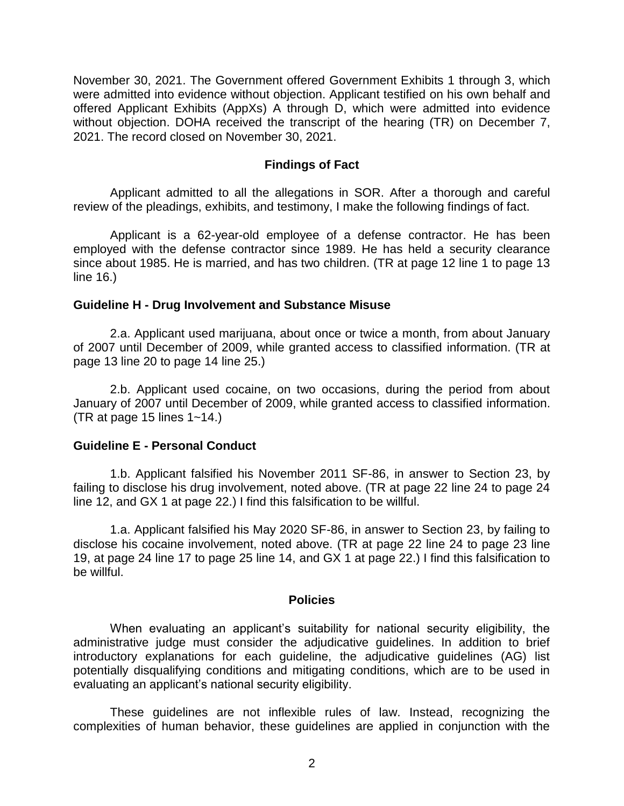November 30, 2021. The Government offered Government Exhibits 1 through 3, which were admitted into evidence without objection. Applicant testified on his own behalf and offered Applicant Exhibits (AppXs) A through D, which were admitted into evidence without objection. DOHA received the transcript of the hearing (TR) on December 7, 2021. The record closed on November 30, 2021.

### **Findings of Fact**

 Applicant admitted to all the allegations in SOR. After a thorough and careful review of the pleadings, exhibits, and testimony, I make the following findings of fact.

 Applicant is a 62-year-old employee of a defense contractor. He has been employed with the defense contractor since 1989. He has held a security clearance since about 1985. He is married, and has two children. (TR at page 12 line 1 to page 13 line 16.)

#### **Guideline H - Drug Involvement and Substance Misuse**

2.a. Applicant used marijuana, about once or twice a month, from about January of 2007 until December of 2009, while granted access to classified information. (TR at page 13 line 20 to page 14 line 25.)

 2.b. Applicant used cocaine, on two occasions, during the period from about January of 2007 until December of 2009, while granted access to classified information. (TR at page 15 lines 1~14.)

#### **Guideline E - Personal Conduct**

1.b. Applicant falsified his November 2011 SF-86, in answer to Section 23, by failing to disclose his drug involvement, noted above. (TR at page 22 line 24 to page 24 line 12, and GX 1 at page 22.) I find this falsification to be willful.

1.a. Applicant falsified his May 2020 SF-86, in answer to Section 23, by failing to disclose his cocaine involvement, noted above. (TR at page 22 line 24 to page 23 line 19, at page 24 line 17 to page 25 line 14, and GX 1 at page 22.) I find this falsification to be willful.

#### **Policies**

 When evaluating an applicant's suitability for national security eligibility, the administrative judge must consider the adjudicative guidelines. In addition to brief potentially disqualifying conditions and mitigating conditions, which are to be used in introductory explanations for each guideline, the adjudicative guidelines (AG) list evaluating an applicant's national security eligibility.

 These guidelines are not inflexible rules of law. Instead, recognizing the complexities of human behavior, these guidelines are applied in conjunction with the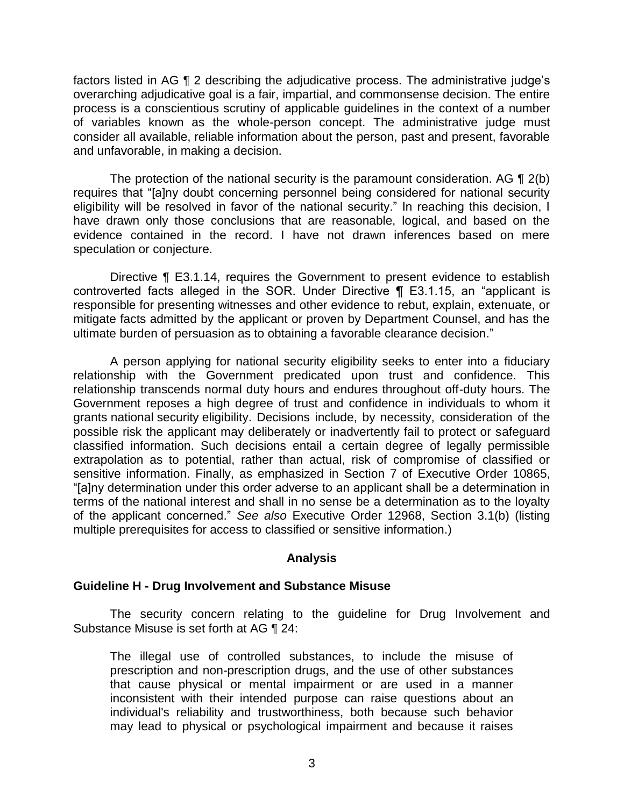factors listed in AG ¶ 2 describing the adjudicative process. The administrative judge's overarching adjudicative goal is a fair, impartial, and commonsense decision. The entire process is a conscientious scrutiny of applicable guidelines in the context of a number of variables known as the whole-person concept. The administrative judge must consider all available, reliable information about the person, past and present, favorable and unfavorable, in making a decision.

The protection of the national security is the paramount consideration. AG  $\P$  2(b) eligibility will be resolved in favor of the national security." In reaching this decision, I have drawn only those conclusions that are reasonable, logical, and based on the evidence contained in the record. I have not drawn inferences based on mere requires that "[a]ny doubt concerning personnel being considered for national security speculation or conjecture.

 Directive ¶ E3.1.14, requires the Government to present evidence to establish controverted facts alleged in the SOR. Under Directive ¶ E3.1.15, an "applicant is responsible for presenting witnesses and other evidence to rebut, explain, extenuate, or mitigate facts admitted by the applicant or proven by Department Counsel, and has the ultimate burden of persuasion as to obtaining a favorable clearance decision."

 A person applying for national security eligibility seeks to enter into a fiduciary relationship with the Government predicated upon trust and confidence. This relationship transcends normal duty hours and endures throughout off-duty hours. The Government reposes a high degree of trust and confidence in individuals to whom it grants national security eligibility. Decisions include, by necessity, consideration of the possible risk the applicant may deliberately or inadvertently fail to protect or safeguard classified information. Such decisions entail a certain degree of legally permissible extrapolation as to potential, rather than actual, risk of compromise of classified or sensitive information. Finally, as emphasized in Section 7 of Executive Order 10865, "[a]ny determination under this order adverse to an applicant shall be a determination in terms of the national interest and shall in no sense be a determination as to the loyalty of the applicant concerned." *See also* Executive Order 12968, Section 3.1(b) (listing multiple prerequisites for access to classified or sensitive information.)

### **Analysis**

### **Guideline H - Drug Involvement and Substance Misuse**

 The security concern relating to the guideline for Drug Involvement and Substance Misuse is set forth at AG ¶ 24:

 The illegal use of controlled substances, to include the misuse of prescription and non-prescription drugs, and the use of other substances that cause physical or mental impairment or are used in a manner inconsistent with their intended purpose can raise questions about an individual's reliability and trustworthiness, both because such behavior may lead to physical or psychological impairment and because it raises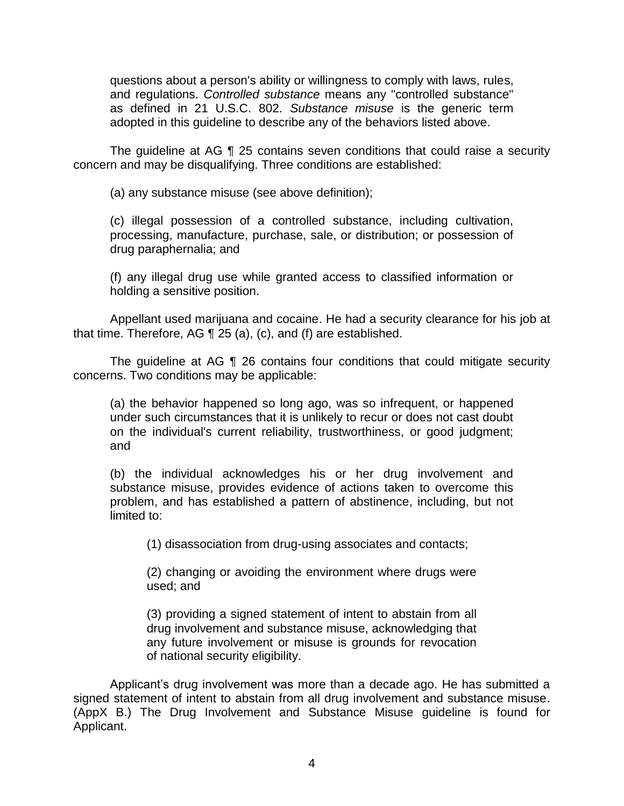questions about a person's ability or willingness to comply with laws, rules,  and regulations. *Controlled substance* means any "controlled substance" as defined in 21 U.S.C. 802. *Substance misuse* is the generic term adopted in this guideline to describe any of the behaviors listed above.

 The guideline at AG ¶ 25 contains seven conditions that could raise a security concern and may be disqualifying. Three conditions are established:

(a) any substance misuse (see above definition);

(c) illegal possession of a controlled substance, including cultivation, processing, manufacture, purchase, sale, or distribution; or possession of drug paraphernalia; and

 (f) any illegal drug use while granted access to classified information or holding a sensitive position.

 Appellant used marijuana and cocaine. He had a security clearance for his job at that time. Therefore, AG ¶ 25 (a), (c), and (f) are established.

 The guideline at AG ¶ 26 contains four conditions that could mitigate security concerns. Two conditions may be applicable:

(a) the behavior happened so long ago, was so infrequent, or happened under such circumstances that it is unlikely to recur or does not cast doubt on the individual's current reliability, trustworthiness, or good judgment; and

(b) the individual acknowledges his or her drug involvement and substance misuse, provides evidence of actions taken to overcome this problem, and has established a pattern of abstinence, including, but not limited to:

(1) disassociation from drug-using associates and contacts;

(2) changing or avoiding the environment where drugs were used; and

 (3) providing a signed statement of intent to abstain from all drug involvement and substance misuse, acknowledging that any future involvement or misuse is grounds for revocation of national security eligibility.

 Applicant's drug involvement was more than a decade ago. He has submitted a signed statement of intent to abstain from all drug involvement and substance misuse. (AppX B.) The Drug Involvement and Substance Misuse guideline is found for Applicant.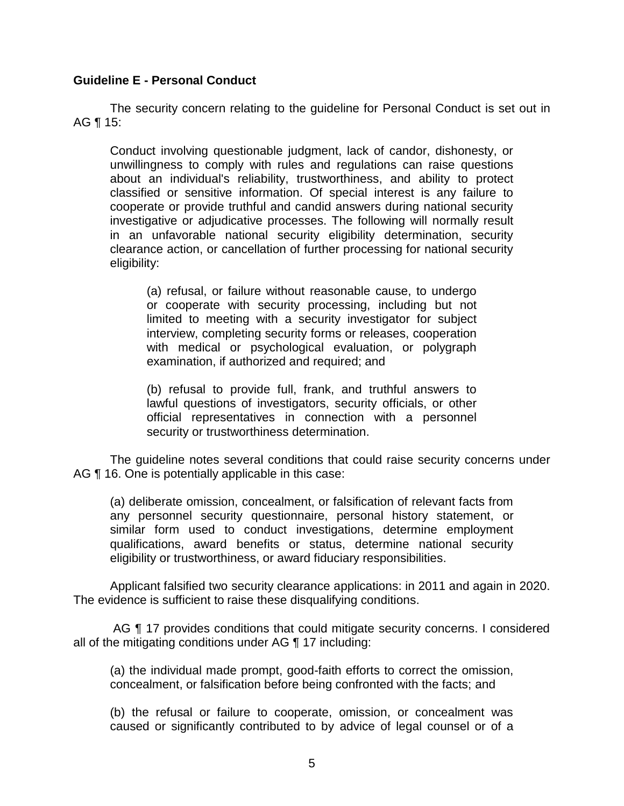### **Guideline E - Personal Conduct**

 The security concern relating to the guideline for Personal Conduct is set out in AG ¶ 15:

Conduct involving questionable judgment, lack of candor, dishonesty, or unwillingness to comply with rules and regulations can raise questions about an individual's reliability, trustworthiness, and ability to protect classified or sensitive information. Of special interest is any failure to cooperate or provide truthful and candid answers during national security investigative or adjudicative processes. The following will normally result in an unfavorable national security eligibility determination, security clearance action, or cancellation of further processing for national security eligibility:

(a) refusal, or failure without reasonable cause, to undergo or cooperate with security processing, including but not limited to meeting with a security investigator for subject interview, completing security forms or releases, cooperation with medical or psychological evaluation, or polygraph examination, if authorized and required; and

 (b) refusal to provide full, frank, and truthful answers to official representatives in connection with a personnel lawful questions of investigators, security officials, or other security or trustworthiness determination.

 The guideline notes several conditions that could raise security concerns under AG  $\P$  16. One is potentially applicable in this case:

(a) deliberate omission, concealment, or falsification of relevant facts from any personnel security questionnaire, personal history statement, or similar form used to conduct investigations, determine employment qualifications, award benefits or status, determine national security eligibility or trustworthiness, or award fiduciary responsibilities.

 Applicant falsified two security clearance applications: in 2011 and again in 2020. The evidence is sufficient to raise these disqualifying conditions.

AG  $\P$  17 provides conditions that could mitigate security concerns. I considered all of the mitigating conditions under AG ¶ 17 including:

(a) the individual made prompt, good-faith efforts to correct the omission, concealment, or falsification before being confronted with the facts; and

 (b) the refusal or failure to cooperate, omission, or concealment was caused or significantly contributed to by advice of legal counsel or of a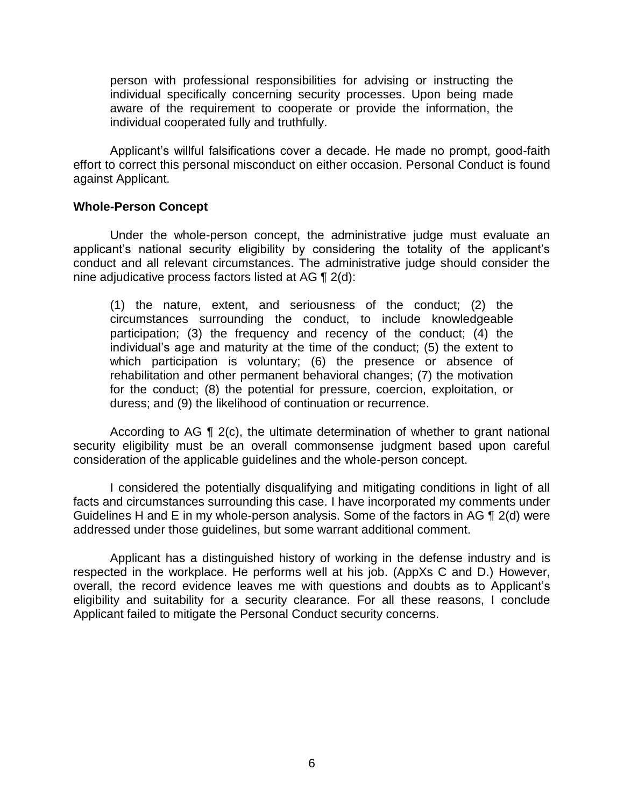person with professional responsibilities for advising or instructing the individual specifically concerning security processes. Upon being made aware of the requirement to cooperate or provide the information, the individual cooperated fully and truthfully.

 Applicant's willful falsifications cover a decade. He made no prompt, good-faith effort to correct this personal misconduct on either occasion. Personal Conduct is found against Applicant.

#### **Whole-Person Concept**

Under the whole-person concept, the administrative judge must evaluate an applicant's national security eligibility by considering the totality of the applicant's conduct and all relevant circumstances. The administrative judge should consider the nine adjudicative process factors listed at AG ¶ 2(d):

(1) the nature, extent, and seriousness of the conduct; (2) the circumstances surrounding the conduct, to include knowledgeable participation; (3) the frequency and recency of the conduct; (4) the individual's age and maturity at the time of the conduct; (5) the extent to which participation is voluntary; (6) the presence or absence of rehabilitation and other permanent behavioral changes; (7) the motivation for the conduct; (8) the potential for pressure, coercion, exploitation, or duress; and (9) the likelihood of continuation or recurrence.

 According to AG ¶ 2(c), the ultimate determination of whether to grant national security eligibility must be an overall commonsense judgment based upon careful consideration of the applicable guidelines and the whole-person concept.

 I considered the potentially disqualifying and mitigating conditions in light of all facts and circumstances surrounding this case. I have incorporated my comments under Guidelines H and E in my whole-person analysis. Some of the factors in AG  $\P$  2(d) were addressed under those guidelines, but some warrant additional comment.

 Applicant has a distinguished history of working in the defense industry and is respected in the workplace. He performs well at his job. (AppXs C and D.) However, overall, the record evidence leaves me with questions and doubts as to Applicant's eligibility and suitability for a security clearance. For all these reasons, I conclude Applicant failed to mitigate the Personal Conduct security concerns.